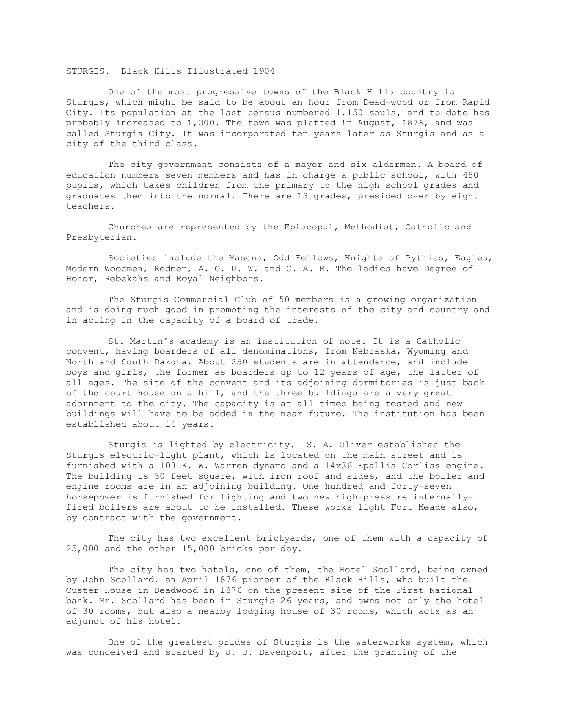## STURGIS. Black Hills Illustrated 1904

 One of the most progressive towns of the Black Hills country is Sturgis, which might be said to be about an hour from Dead-wood or from Rapid City. Its population at the last census numbered 1,150 souls, and to date has probably increased to 1,300. The town was platted in August, 1878, and was called Sturgis City. It was incorporated ten years later as Sturgis and as a city of the third class.

 The city government consists of a mayor and six aldermen. A board of education numbers seven members and has in charge a public school, with 450 pupils, which takes children from the primary to the high school grades and graduates them into the normal. There are 13 grades, presided over by eight teachers.

 Churches are represented by the Episcopal, Methodist, Catholic and Presbyterian.

 Societies include the Masons, Odd Fellows, Knights of Pythias, Eagles, Modern Woodmen, Redmen, A. O. U. W. and G. A. R. The ladies have Degree of Honor, Rebekahs and Royal Neighbors.

 The Sturgis Commercial Club of 50 members is a growing organization and is doing much good in promoting the interests of the city and country and in acting in the capacity of a board of trade.

 St. Martin's academy is an institution of note. It is a Catholic convent, having boarders of all denominations, from Nebraska, Wyoming and North and South Dakota. About 250 students are in attendance, and include boys and girls, the former as boarders up to 12 years of age, the latter of all ages. The site of the convent and its adjoining dormitories is just back of the court house on a hill, and the three buildings are a very great adornment to the city. The capacity is at all times being tested and new buildings will have to be added in the near future. The institution has been established about 14 years.

 Sturgis is lighted by electricity. S. A. Oliver established the Sturgis electric-light plant, which is located on the main street and is furnished with a 100 K. W. Warren dynamo and a 14x36 Epallis Corliss engine. The building is 50 feet square, with iron roof and sides, and the boiler and engine rooms are in an adjoining building. One hundred and forty-seven horsepower is furnished for lighting and two new high-pressure internallyfired boilers are about to be installed. These works light Fort Meade also, by contract with the government.

 The city has two excellent brickyards, one of them with a capacity of 25,000 and the other 15,000 bricks per day.

The city has two hotels, one of them, the Hotel Scollard, being owned by John Scollard, an April 1876 pioneer of the Black Hills, who built the Custer House in Deadwood in 1876 on the present site of the First National bank. Mr. Scollard has been in Sturgis 26 years, and owns not only the hotel of 30 rooms, but also a nearby lodging house of 30 rooms, which acts as an adjunct of his hotel.

 One of the greatest prides of Sturgis is the waterworks system, which was conceived and started by J. J. Davenport, after the granting of the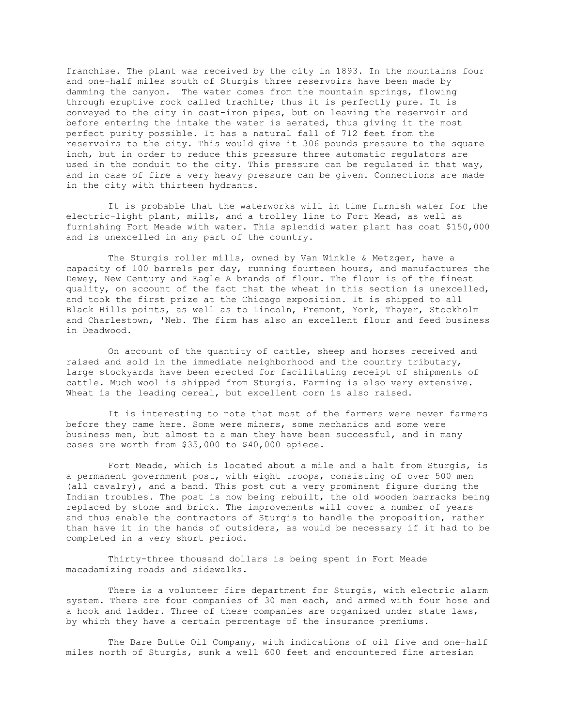franchise. The plant was received by the city in 1893. In the mountains four and one-half miles south of Sturgis three reservoirs have been made by damming the canyon. The water comes from the mountain springs, flowing through eruptive rock called trachite; thus it is perfectly pure. It is conveyed to the city in cast-iron pipes, but on leaving the reservoir and before entering the intake the water is aerated, thus giving it the most perfect purity possible. It has a natural fall of 712 feet from the reservoirs to the city. This would give it 306 pounds pressure to the square inch, but in order to reduce this pressure three automatic regulators are used in the conduit to the city. This pressure can be regulated in that way, and in case of fire a very heavy pressure can be given. Connections are made in the city with thirteen hydrants.

 It is probable that the waterworks will in time furnish water for the electric-light plant, mills, and a trolley line to Fort Mead, as well as furnishing Fort Meade with water. This splendid water plant has cost \$150,000 and is unexcelled in any part of the country.

 The Sturgis roller mills, owned by Van Winkle & Metzger, have a capacity of 100 barrels per day, running fourteen hours, and manufactures the Dewey, New Century and Eagle A brands of flour. The flour is of the finest quality, on account of the fact that the wheat in this section is unexcelled, and took the first prize at the Chicago exposition. It is shipped to all Black Hills points, as well as to Lincoln, Fremont, York, Thayer, Stockholm and Charlestown, 'Neb. The firm has also an excellent flour and feed business in Deadwood.

 On account of the quantity of cattle, sheep and horses received and raised and sold in the immediate neighborhood and the country tributary, large stockyards have been erected for facilitating receipt of shipments of cattle. Much wool is shipped from Sturgis. Farming is also very extensive. Wheat is the leading cereal, but excellent corn is also raised.

 It is interesting to note that most of the farmers were never farmers before they came here. Some were miners, some mechanics and some were business men, but almost to a man they have been successful, and in many cases are worth from \$35,000 to \$40,000 apiece.

 Fort Meade, which is located about a mile and a halt from Sturgis, is a permanent government post, with eight troops, consisting of over 500 men (all cavalry), and a band. This post cut a very prominent figure during the Indian troubles. The post is now being rebuilt, the old wooden barracks being replaced by stone and brick. The improvements will cover a number of years and thus enable the contractors of Sturgis to handle the proposition, rather than have it in the hands of outsiders, as would be necessary if it had to be completed in a very short period.

 Thirty-three thousand dollars is being spent in Fort Meade macadamizing roads and sidewalks.

 There is a volunteer fire department for Sturgis, with electric alarm system. There are four companies of 30 men each, and armed with four hose and a hook and ladder. Three of these companies are organized under state laws, by which they have a certain percentage of the insurance premiums.

 The Bare Butte Oil Company, with indications of oil five and one-half miles north of Sturgis, sunk a well 600 feet and encountered fine artesian